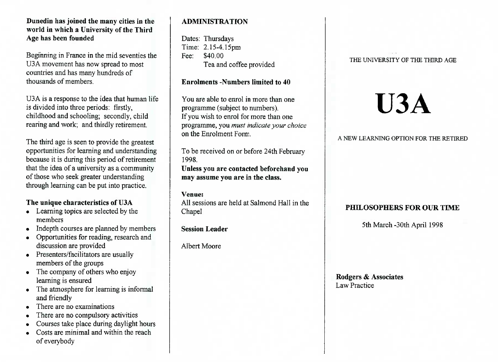## **Dunedin has joined the many cities in the world in which a University of the ThirdAge has been founded**

Beginning in France in the mid seventies theU3A movement has now spread to mostcountries and has many hundreds ofthousands of members.

U3A is a response to the idea that human lifeis divided into three periods: firstly, childhood and schooling; secondly, childrearing and work; and thirdly retirement.

The third age is seen to provide the greatest opportunities for learning and understanding because it is during this period of retirement that the idea of a university as a communityof those who seek greater understandingthrough learning can be put into practice.

# **The unique characteristics of U3A**

- Learning topics are selected by themembers
- Indepth courses are planned by members
- Opportunities for reading, research anddiscussion are provided
- Presenters/facilitators are usually members of the groups
- The company of others who enjoylearning is ensured
- The atmosphere for learning is informaland friendly
- There are no examinations
- There are no compulsory activities
- Courses take place during daylight hours
- Costs are minimal and within the reachof everybody

# **ADMINISTRATION**

Dates: Thursdays Time: 2.15-4.15pmFee: \$40.00Tea and coffee provided

## **Enrolments -Numbers limited to 40**

You are able to enrol in more than oneprogramme (subject to numbers). If you wish to enrol for more than one programme, you *must indicate your choice*on the Enrolment Form.

To be received on or before 24th February1998.**Unless you are contacted beforehand youmay assume you are in the class.**

#### **Venue:**

 All sessions are held at Salmond Hall in theChapel

**Session Leader**

Albert Moore

#### THE UNIVERSITY OF THE THIRD AGE

# **U3A**

## A NEW LEARNING OPTION FOR THE RETIRED

# **PHILOSOPHERS FOR OUR TIME**

5th March-30th April 1998

**Rodgers** *&* **Associates**Law Practice